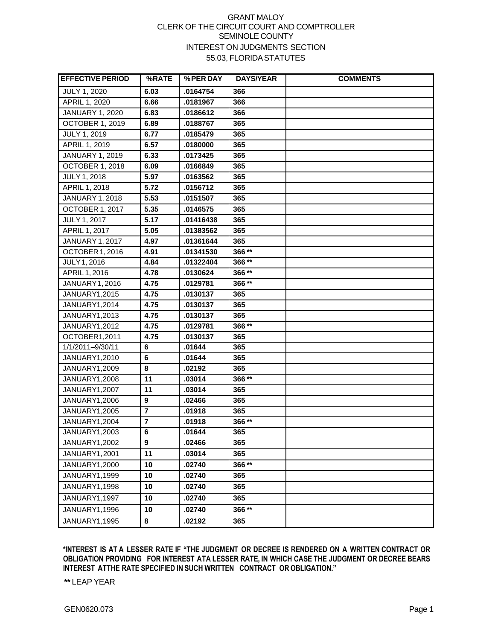## GRANT MALOY CLERK OF THE CIRCUIT COURT AND COMPTROLLER SEMINOLE COUNTY INTEREST ON JUDGMENTS SECTION 55.03, FLORIDASTATUTES

| <b>EFFECTIVE PERIOD</b> | %RATE           | %PER DAY  | <b>DAYS/YEAR</b> | <b>COMMENTS</b> |
|-------------------------|-----------------|-----------|------------------|-----------------|
| JULY 1, 2020            | 6.03            | .0164754  | 366              |                 |
| APRIL 1, 2020           | 6.66            | .0181967  | 366              |                 |
| <b>JANUARY 1, 2020</b>  | 6.83            | .0186612  | 366              |                 |
| <b>OCTOBER 1, 2019</b>  | 6.89            | .0188767  | 365              |                 |
| JULY 1, 2019            | 6.77            | .0185479  | 365              |                 |
| APRIL 1, 2019           | 6.57            | .0180000  | 365              |                 |
| <b>JANUARY 1, 2019</b>  | 6.33            | .0173425  | 365              |                 |
| <b>OCTOBER 1, 2018</b>  | 6.09            | .0166849  | 365              |                 |
| <b>JULY 1, 2018</b>     | 5.97            | .0163562  | 365              |                 |
| APRIL 1, 2018           | 5.72            | .0156712  | 365              |                 |
| <b>JANUARY 1, 2018</b>  | 5.53            | .0151507  | 365              |                 |
| OCTOBER 1, 2017         | 5.35            | .0146575  | 365              |                 |
| <b>JULY 1, 2017</b>     | 5.17            | .01416438 | 365              |                 |
| APRIL 1, 2017           | 5.05            | .01383562 | 365              |                 |
| <b>JANUARY 1, 2017</b>  | 4.97            | .01361644 | 365              |                 |
| OCTOBER 1, 2016         | 4.91            | .01341530 | 366**            |                 |
| <b>JULY 1, 2016</b>     | 4.84            | .01322404 | 366**            |                 |
| APRIL 1, 2016           | 4.78            | .0130624  | 366**            |                 |
| JANUARY 1, 2016         | 4.75            | .0129781  | 366**            |                 |
| <b>JANUARY1,2015</b>    | 4.75            | .0130137  | 365              |                 |
| JANUARY1,2014           | 4.75            | .0130137  | 365              |                 |
| JANUARY1,2013           | 4.75            | .0130137  | 365              |                 |
| JANUARY1,2012           | 4.75            | .0129781  | 366**            |                 |
| OCTOBER1,2011           | 4.75            | .0130137  | 365              |                 |
| 1/1/2011-9/30/11        | 6               | .01644    | 365              |                 |
| JANUARY1,2010           | $6\phantom{1}6$ | .01644    | 365              |                 |
| JANUARY1,2009           | 8               | .02192    | 365              |                 |
| <b>JANUARY1,2008</b>    | 11              | .03014    | 366**            |                 |
| JANUARY1,2007           | 11              | .03014    | 365              |                 |
| JANUARY1,2006           | 9               | .02466    | 365              |                 |
| JANUARY1,2005           | $\overline{7}$  | .01918    | 365              |                 |
| JANUARY1,2004           | 7               | .01918    | 366**            |                 |
| JANUARY1,2003           | 6               | .01644    | 365              |                 |
| JANUARY1,2002           | 9               | .02466    | 365              |                 |
| JANUARY1,2001           | 11              | .03014    | 365              |                 |
| JANUARY1,2000           | 10              | .02740    | $366**$          |                 |
| JANUARY1,1999           | 10              | .02740    | 365              |                 |
| JANUARY1,1998           | 10              | .02740    | 365              |                 |
| JANUARY1,1997           | 10              | .02740    | 365              |                 |
| JANUARY1,1996           | 10              | .02740    | 366**            |                 |
| JANUARY1,1995           | 8               | .02192    | 365              |                 |

**\*INTEREST IS AT A LESSER RATE IF "THE JUDGMENT OR DECREE IS RENDERED ON A WRITTEN CONTRACT OR OBLIGATION PROVIDING FOR INTEREST ATA LESSER RATE, IN WHICH CASE THE JUDGMENT OR DECREE BEARS INTEREST ATTHE RATE SPECIFIED IN SUCH WRITTEN CONTRACT OROBLIGATION."**

**\*\*** LEAP YEAR